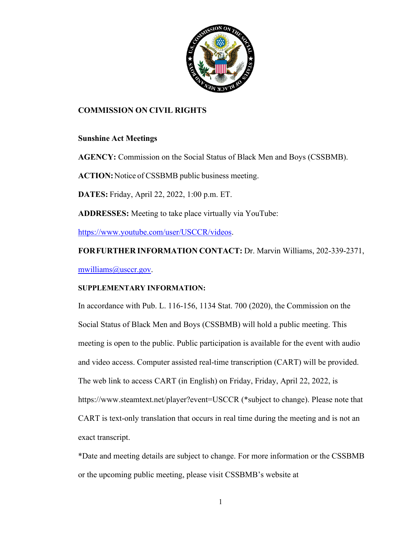

### **COMMISSION ON CIVIL RIGHTS**

### **Sunshine Act Meetings**

**AGENCY:** Commission on the Social Status of Black Men and Boys (CSSBMB).

**ACTION:**Notice of CSSBMB public business meeting.

**DATES:** Friday, April 22, 2022, 1:00 p.m. ET.

**ADDRESSES:** Meeting to take place virtually via YouTube:

[https://www.youtube.com/user/USCCR/videos.](https://www.youtube.com/user/USCCR/videos)

**FORFURTHER INFORMATION CONTACT:** Dr. Marvin Williams, 202-339-2371, [mwilliams@usccr.gov.](mailto:mwilliams@usccr.gov)

### **SUPPLEMENTARY INFORMATION:**

In accordance with Pub. L. 116-156, 1134 Stat. 700 (2020), the Commission on the Social Status of Black Men and Boys (CSSBMB) will hold a public meeting. This meeting is open to the public. Public participation is available for the event with audio and video access. Computer assisted real-time transcription (CART) will be provided. The web link to access CART (in English) on Friday, Friday, April 22, 2022, is https://www.steamtext.net/player?event=USCCR (\*subject to change). Please note that CART is text-only translation that occurs in real time during the meeting and is not an exact transcript.

\*Date and meeting details are subject to change. For more information or the CSSBMB or the upcoming public meeting, please visit CSSBMB's website at